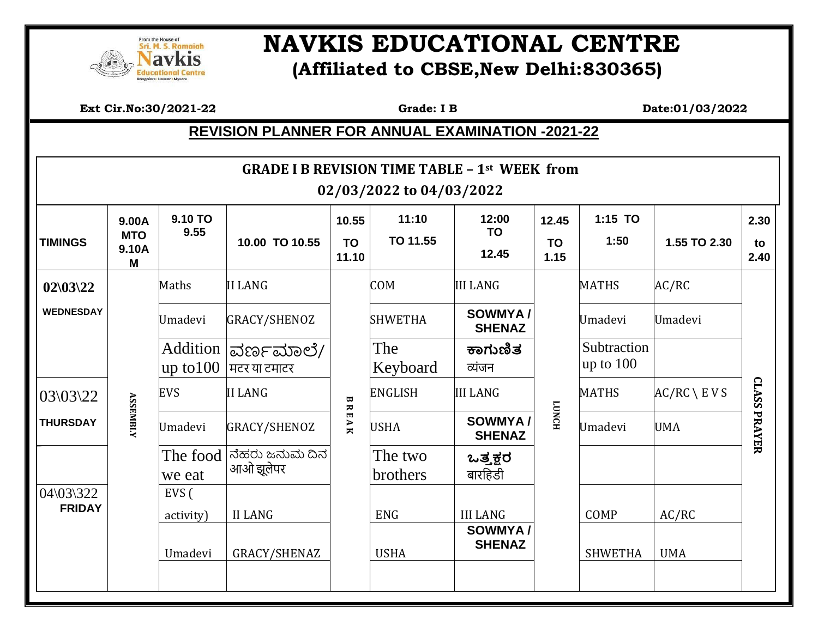

## **EQUERICATIONAL CENTRE (Affiliated to CBSE,New Delhi:830365)**

 **Ext Cir.No:30/2021-22 Grade: I B Date:01/03/2022**

## **REVISION PLANNER FOR ANNUAL EXAMINATION -2021-22**

| <b>GRADE I B REVISION TIME TABLE - 1st WEEK from</b><br>02/03/2022 to 04/03/2022 |                                   |                    |                                     |                                           |                     |                             |                            |                            |                       |                     |
|----------------------------------------------------------------------------------|-----------------------------------|--------------------|-------------------------------------|-------------------------------------------|---------------------|-----------------------------|----------------------------|----------------------------|-----------------------|---------------------|
| <b>TIMINGS</b>                                                                   | 9.00A<br><b>MTO</b><br>9.10A<br>M | 9.10 TO<br>9.55    | 10.00 TO 10.55                      | 10.55<br><b>TO</b><br>11.10               | 11:10<br>TO 11.55   | 12:00<br><b>TO</b><br>12.45 | 12.45<br><b>TO</b><br>1.15 | 1:15 TO<br>1:50            | 1.55 TO 2.30          | 2.30<br>to<br>2.40  |
| $02\frac{03}{22}$                                                                |                                   | Maths              | <b>II LANG</b>                      | B R<br>$\blacksquare$<br>$\overline{A}$ K | <b>COM</b>          | <b>III LANG</b>             |                            | <b>MATHS</b>               | AC/RC                 |                     |
| <b>WEDNESDAY</b>                                                                 |                                   | Umadevi            | GRACY/SHENOZ                        |                                           | <b>SHWETHA</b>      | SOWMYA/<br><b>SHENAZ</b>    |                            | Umadevi                    | Umadevi               |                     |
|                                                                                  |                                   | up to 100          | Addition  ವರ್ಣಮಾಲೆ/<br>मटर या टमाटर |                                           | The<br>Keyboard     | ಕಾಗುಣಿತ<br>व्यंजन           |                            | Subtraction<br>up to $100$ |                       | <b>CLASS PRAYER</b> |
| 03\03\22                                                                         |                                   | <b>EVS</b>         | <b>II LANG</b>                      |                                           | <b>ENGLISH</b>      | <b>III LANG</b>             | <b>LUNCH</b>               | <b>MATHS</b>               | $AC/RC \setminus EVS$ |                     |
| <b>THURSDAY</b>                                                                  | <b>ASSEMBLY</b>                   | Umadevi            | GRACY/SHENOZ                        |                                           | <b>USHA</b>         | SOWMYA/<br><b>SHENAZ</b>    |                            | Umadevi                    | <b>UMA</b>            |                     |
|                                                                                  |                                   | The food<br>we eat | ನೆಹರು ಜನುಮ ದಿನ<br>आओ झूलेपर         |                                           | The two<br>brothers | ಒತ್ತಕ್ಷರ<br>बारहिडी         |                            |                            |                       |                     |
| 04\03\322<br><b>FRIDAY</b>                                                       |                                   | EVS (<br>activity) | <b>II LANG</b>                      |                                           | <b>ENG</b>          | <b>III LANG</b><br>SOWMYA/  |                            | COMP                       | AC/RC                 |                     |
|                                                                                  |                                   | Umadevi            | GRACY/SHENAZ                        |                                           | <b>USHA</b>         | <b>SHENAZ</b>               |                            | <b>SHWETHA</b>             | <b>UMA</b>            |                     |
|                                                                                  |                                   |                    |                                     |                                           |                     |                             |                            |                            |                       |                     |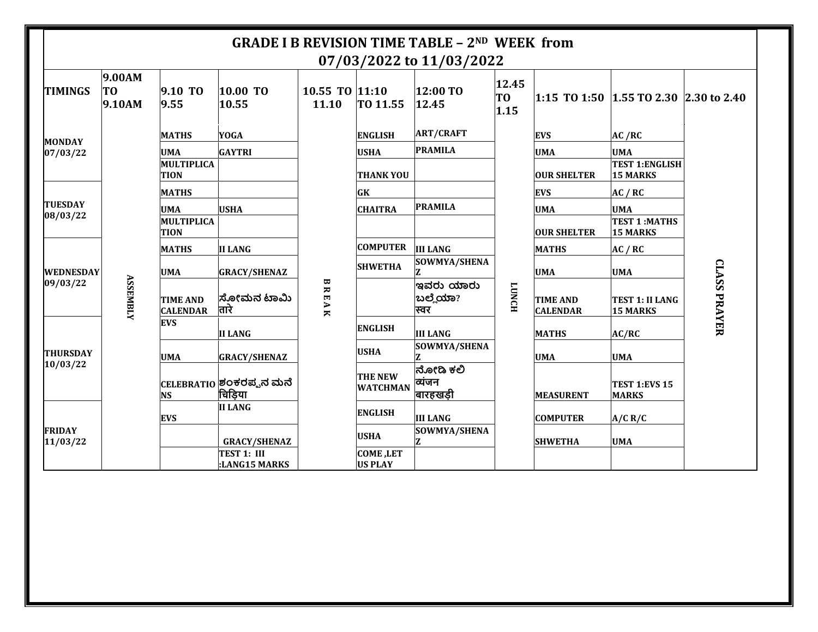|                            |                        |                                    |                                    |                            |                                   | <b>GRADE I B REVISION TIME TABLE - 2ND WEEK from</b><br>07/03/2022 to 11/03/2022 |                     |                                    |                                           |                     |            |
|----------------------------|------------------------|------------------------------------|------------------------------------|----------------------------|-----------------------------------|----------------------------------------------------------------------------------|---------------------|------------------------------------|-------------------------------------------|---------------------|------------|
| <b>TIMINGS</b>             | 9.00AM<br>TO<br>9.10AM | 9.10 TO<br>9.55                    | 10.00 TO<br>10.55                  | 10.55 TO $ 11:10$<br>11.10 | TO 11.55                          | 12:00 TO<br>12.45                                                                | 12.45<br>TO<br>1.15 |                                    | 1:15 TO 1:50 1.55 TO 2.30 2.30 to 2.40    |                     |            |
| <b>MONDAY</b>              |                        | <b>MATHS</b>                       | <b>YOGA</b>                        |                            | <b>ENGLISH</b>                    | <b>ART/CRAFT</b>                                                                 |                     | <b>EVS</b>                         | AC /RC                                    | <b>CLASS PRAYER</b> |            |
| 07/03/22                   |                        | <b>UMA</b>                         | <b>GAYTRI</b>                      |                            | <b>USHA</b>                       | <b>PRAMILA</b>                                                                   |                     | <b>UMA</b>                         | <b>UMA</b>                                |                     |            |
|                            |                        | MULTIPLICA<br><b>TION</b>          |                                    |                            | <b>THANK YOU</b>                  |                                                                                  |                     | <b>OUR SHELTER</b>                 | <b>TEST 1:ENGLISH</b><br><b>15 MARKS</b>  |                     |            |
|                            |                        | <b>MATHS</b>                       |                                    |                            | GK                                |                                                                                  |                     | <b>EVS</b>                         | AC / RC                                   |                     |            |
| <b>TUESDAY</b><br>08/03/22 |                        | <b>UMA</b>                         | <b>USHA</b>                        |                            | <b>CHAITRA</b>                    | <b>PRAMILA</b>                                                                   |                     | <b>UMA</b>                         | <b>UMA</b>                                |                     |            |
|                            |                        | <b>MULTIPLICA</b><br><b>TION</b>   |                                    |                            |                                   |                                                                                  |                     | <b>OUR SHELTER</b>                 | <b>TEST 1:MATHS</b><br><b>15 MARKS</b>    |                     |            |
|                            |                        | <b>MATHS</b>                       | <b>II LANG</b>                     |                            | <b>COMPUTER</b>                   | <b>III LANG</b>                                                                  |                     | <b>MATHS</b>                       | AC / RC                                   |                     |            |
| <b>WEDNESDAY</b>           |                        | <b>UMA</b>                         | <b>GRACY/SHENAZ</b>                |                            |                                   |                                                                                  | <b>SHWETHA</b>      | SOWMYA/SHENA                       |                                           | <b>UMA</b>          | <b>UMA</b> |
| 09/03/22                   | <b>ASSEMBLY</b>        | <b>TIME AND</b><br><b>CALENDAR</b> | ಸೋಮನ ಟಾಮಿ<br>तारे                  | ω<br>REAK                  |                                   | ಇವರು ಯಾರು<br>ಬಲ್ಲೆಯಾ?<br>स्वर                                                    | <b>FONCH</b>        | <b>TIME AND</b><br><b>CALENDAR</b> | <b>TEST 1: II LANG</b><br><b>15 MARKS</b> |                     |            |
|                            |                        | <b>EVS</b>                         | <b>II LANG</b>                     |                            | <b>ENGLISH</b>                    | <b>III LANG</b>                                                                  |                     | <b>MATHS</b>                       | AC/RC                                     |                     |            |
| <b>THURSDAY</b>            |                        | <b>UMA</b>                         | <b>GRACY/SHENAZ</b>                |                            | <b>USHA</b>                       | SOWMYA/SHENA                                                                     |                     | <b>UMA</b>                         | <b>UMA</b>                                |                     |            |
| 10/03/22                   |                        | <b>NS</b>                          | CELEBRATIO ಶಂಕರಪ್ಪನ ಮನೆ<br>चिड़िया |                            | <b>THE NEW</b><br><b>WATCHMAN</b> | ನೋಡಿ ಕಲಿ<br>व्यंजन<br>बारहखड़ी                                                   |                     | <b>MEASURENT</b>                   | TEST 1:EVS 15<br><b>MARKS</b>             |                     |            |
| <b>FRIDAY</b><br>11/03/22  |                        | <b>EVS</b>                         | <b>II LANG</b>                     |                            | <b>ENGLISH</b>                    | <b>III LANG</b>                                                                  |                     | <b>COMPUTER</b>                    | A/C R/C                                   |                     |            |
|                            |                        |                                    | <b>GRACY/SHENAZ</b>                |                            | <b>USHA</b>                       | SOWMYA/SHENA                                                                     |                     | <b>SHWETHA</b>                     | <b>UMA</b>                                |                     |            |
|                            |                        |                                    | TEST 1: III<br>:LANG15 MARKS       |                            | <b>COME,LET</b><br><b>US PLAY</b> |                                                                                  |                     |                                    |                                           |                     |            |